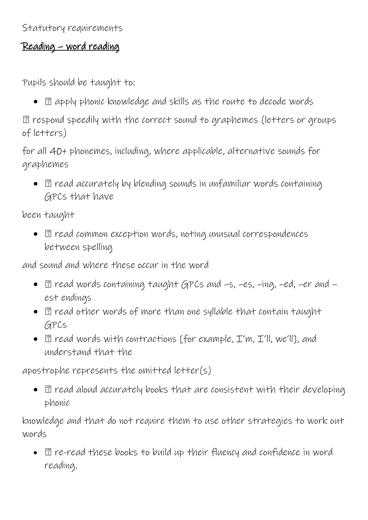## Reading – word reading

Pupils should be taught to:

•  $\Box$  apply phonic knowledge and skills as the route to decode words

respond speedily with the correct sound to graphemes (letters or groups of letters)

for all 40+ phonemes, including, where applicable, alternative sounds for graphemes

•  $\Box$  read accurately by blending sounds in unfamiliar words containing GPCs that have

been taught

•  $\Box$  read common exception words, noting unusual correspondences between spelling

and sound and where these occur in the word

- $\Box$  read words containing taught GPCs and  $-s$ ,  $-es$ ,  $-i$ ng,  $-ed$ ,  $-er$  and  $$ est endings
- $\bullet$   $\Box$  read other words of more than one syllable that contain taught GPCs
- $\Box$  read words with contractions [for example,  $\mathcal{I}'$ m,  $\mathcal{I}'$ ll, we'll], and understand that the

apostrophe represents the omitted letter(s)

 $\bullet$   $\Box$  read aloud accurately books that are consistent with their developing phonic

knowledge and that do not require them to use other strategies to work out words

•  $\Box$  re-read these books to build up their fluency and confidence in word reading.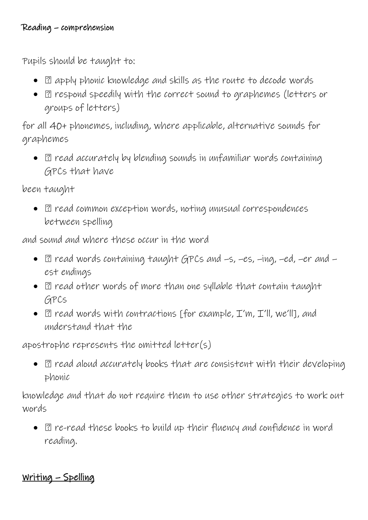Pupils should be taught to:

- $\Box$  apply phonic knowledge and skills as the route to decode words
- $\Box$  respond speedily with the correct sound to graphemes (letters or groups of letters)

for all 40+ phonemes, including, where applicable, alternative sounds for graphemes

 $\bullet$   $\Box$  read accurately by blending sounds in unfamiliar words containing GPCs that have

been taught

•  $\Box$  read common exception words, noting unusual correspondences between spelling

and sound and where these occur in the word

- $\bullet$   $\Box$  read words containing taught GPCs and  $-s$ ,  $-es$ ,  $-i$ ng,  $-ed$ ,  $-er$  and  $$ est endings
- $\Box$  read other words of more than one syllable that contain taught GPCs
- $\bullet$   $\Box$  read words with contractions [for example, I'm, I'll, we'll], and understand that the

apostrophe represents the omitted letter(s)

 $\bullet$   $\Box$  read aloud accurately books that are consistent with their developing phonic

knowledge and that do not require them to use other strategies to work out words

•  $\Box$  re-read these books to build up their fluency and confidence in word reading.

Writing – Spelling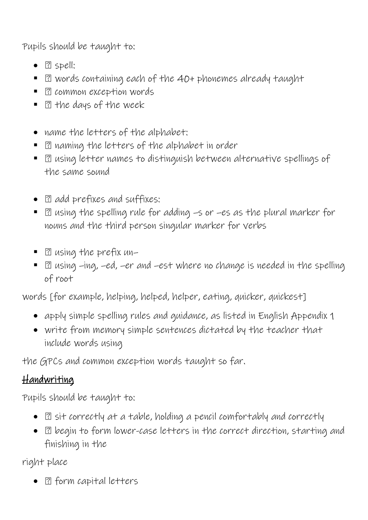Pupils should be taught to:

- **2** spell:
- 2 words containing each of the 40+ phonemes already taught
- **3** common exception words
- $\blacksquare$   $\blacksquare$  the days of the week
- name the letters of the alphabet:
- $\blacksquare$   $\blacksquare$  naming the letters of the alphabet in order
- $\blacksquare$   $\blacksquare$  using letter names to distinguish between alternative spellings of the same sound
- **2** add prefixes and suffixes:
- $\blacksquare$   $\boxtimes$  using the spelling rule for adding  $-$ s or  $-e$ s as the plural marker for nouns and the third person singular marker for verbs
- $\blacksquare$   $\blacksquare$  using the prefix un-
- 2 using -ing, -ed, -er and -est where no change is needed in the spelling of root

words [for example, helping, helped, helper, eating, quicker, quickest]

- apply simple spelling rules and guidance, as listed in English Appendix 1
- write from memory simple sentences dictated by the teacher that include words using

the GPCs and common exception words taught so far.

## Handwriting

Pupils should be taught to:

- $\bullet$   $\Box$  sit correctly at a table, holding a pencil comfortably and correctly
- $\Box$  begin to form lower-case letters in the correct direction, starting and finishing in the

right place

• **2** form capital letters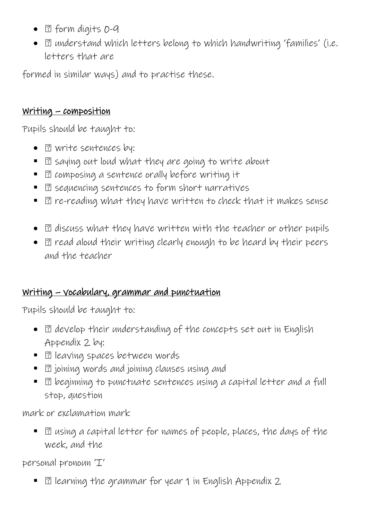- 2 form digits 0-9
- $\Box$  understand which letters belong to which handwriting 'families' (i.e. letters that are

formed in similar ways) and to practise these.

## Writing – composition

Pupils should be taught to:

- **P.** write sentences by:
- **B** saying out loud what they are going to write about
- **E** composing a sentence orally before writing it
- $\Box$  sequencing sentences to form short narratives
- $\Box$  re-reading what they have written to check that it makes sense
- $\Box$  discuss what they have written with the teacher or other pupils
- $\Box$  read aloud their writing clearly enough to be heard by their peers and the teacher

## Writing – vocabulary, grammar and punctuation

Pupils should be taught to:

- $\Box$  develop their understanding of the concepts set out in English Appendix 2 by:
- **El leaving spaces between words**
- $\blacksquare$   $\boxdot$  joining words and joining clauses using and
- **•**  $\Box$  beginning to punctuate sentences using a capital letter and a full stop, question

mark or exclamation mark

**E** asing a capital letter for names of people, places, the days of the week, and the

personal pronoun 'I'

• 2 learning the grammar for year 1 in English Appendix 2